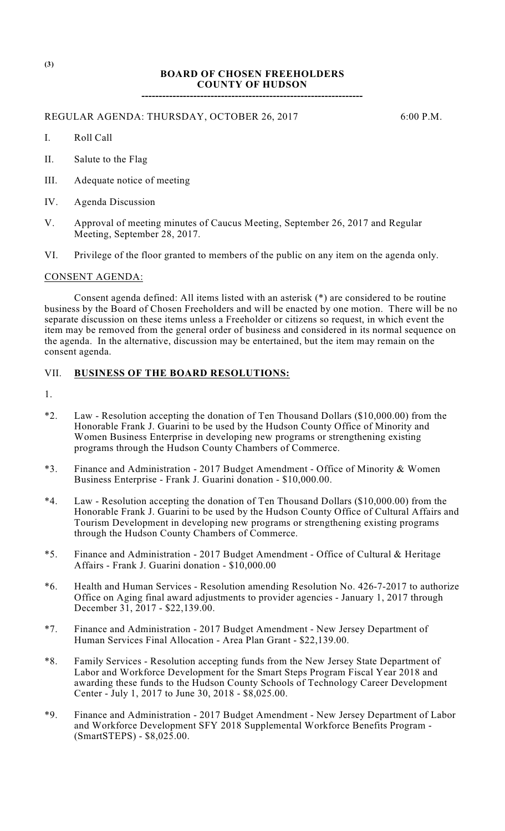## **BOARD OF CHOSEN FREEHOLDERS COUNTY OF HUDSON**

**----------------------------------------------------------------**

REGULAR AGENDA: THURSDAY, OCTOBER 26, 2017 6:00 P.M.

- I. Roll Call
- II. Salute to the Flag
- III. Adequate notice of meeting
- IV. Agenda Discussion
- V. Approval of meeting minutes of Caucus Meeting, September 26, 2017 and Regular Meeting, September 28, 2017.
- VI. Privilege of the floor granted to members of the public on any item on the agenda only.

## CONSENT AGENDA:

Consent agenda defined: All items listed with an asterisk (\*) are considered to be routine business by the Board of Chosen Freeholders and will be enacted by one motion. There will be no separate discussion on these items unless a Freeholder or citizens so request, in which event the item may be removed from the general order of business and considered in its normal sequence on the agenda. In the alternative, discussion may be entertained, but the item may remain on the consent agenda.

## VII. **BUSINESS OF THE BOARD RESOLUTIONS:**

1.

- \*2. Law Resolution accepting the donation of Ten Thousand Dollars (\$10,000.00) from the Honorable Frank J. Guarini to be used by the Hudson County Office of Minority and Women Business Enterprise in developing new programs or strengthening existing programs through the Hudson County Chambers of Commerce.
- \*3. Finance and Administration 2017 Budget Amendment Office of Minority & Women Business Enterprise - Frank J. Guarini donation - \$10,000.00.
- \*4. Law Resolution accepting the donation of Ten Thousand Dollars (\$10,000.00) from the Honorable Frank J. Guarini to be used by the Hudson County Office of Cultural Affairs and Tourism Development in developing new programs or strengthening existing programs through the Hudson County Chambers of Commerce.
- \*5. Finance and Administration 2017 Budget Amendment Office of Cultural & Heritage Affairs - Frank J. Guarini donation - \$10,000.00
- \*6. Health and Human Services Resolution amending Resolution No. 426-7-2017 to authorize Office on Aging final award adjustments to provider agencies - January 1, 2017 through December 31, 2017 - \$22,139.00.
- \*7. Finance and Administration 2017 Budget Amendment New Jersey Department of Human Services Final Allocation - Area Plan Grant - \$22,139.00.
- \*8. Family Services Resolution accepting funds from the New Jersey State Department of Labor and Workforce Development for the Smart Steps Program Fiscal Year 2018 and awarding these funds to the Hudson County Schools of Technology Career Development Center - July 1, 2017 to June 30, 2018 - \$8,025.00.
- \*9. Finance and Administration 2017 Budget Amendment New Jersey Department of Labor and Workforce Development SFY 2018 Supplemental Workforce Benefits Program - (SmartSTEPS) - \$8,025.00.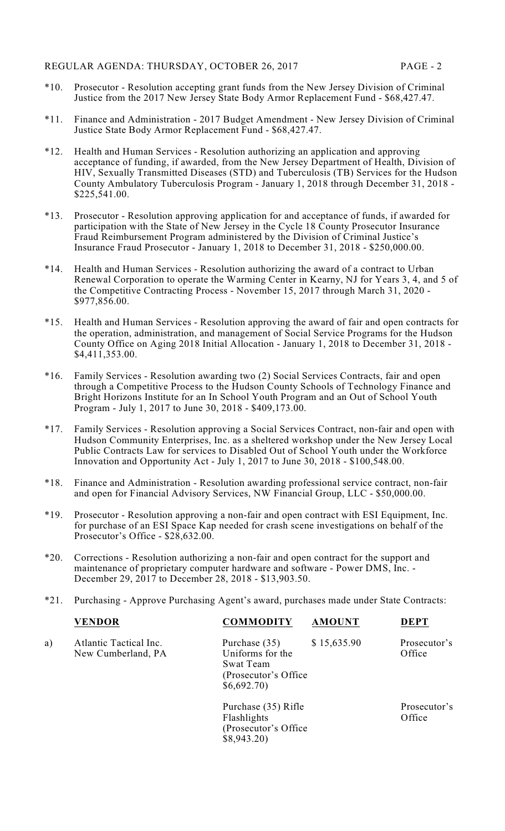- \*10. Prosecutor Resolution accepting grant funds from the New Jersey Division of Criminal Justice from the 2017 New Jersey State Body Armor Replacement Fund - \$68,427.47.
- \*11. Finance and Administration 2017 Budget Amendment New Jersey Division of Criminal Justice State Body Armor Replacement Fund - \$68,427.47.
- \*12. Health and Human Services Resolution authorizing an application and approving acceptance of funding, if awarded, from the New Jersey Department of Health, Division of HIV, Sexually Transmitted Diseases (STD) and Tuberculosis (TB) Services for the Hudson County Ambulatory Tuberculosis Program - January 1, 2018 through December 31, 2018 - \$225,541.00.
- \*13. Prosecutor Resolution approving application for and acceptance of funds, if awarded for participation with the State of New Jersey in the Cycle 18 County Prosecutor Insurance Fraud Reimbursement Program administered by the Division of Criminal Justice's Insurance Fraud Prosecutor - January 1, 2018 to December 31, 2018 - \$250,000.00.
- \*14. Health and Human Services Resolution authorizing the award of a contract to Urban Renewal Corporation to operate the Warming Center in Kearny, NJ for Years 3, 4, and 5 of the Competitive Contracting Process - November 15, 2017 through March 31, 2020 - \$977,856.00.
- \*15. Health and Human Services Resolution approving the award of fair and open contracts for the operation, administration, and management of Social Service Programs for the Hudson County Office on Aging 2018 Initial Allocation - January 1, 2018 to December 31, 2018 - \$4,411,353.00.
- \*16. Family Services Resolution awarding two (2) Social Services Contracts, fair and open through a Competitive Process to the Hudson County Schools of Technology Finance and Bright Horizons Institute for an In School Youth Program and an Out of School Youth Program - July 1, 2017 to June 30, 2018 - \$409,173.00.
- \*17. Family Services Resolution approving a Social Services Contract, non-fair and open with Hudson Community Enterprises, Inc. as a sheltered workshop under the New Jersey Local Public Contracts Law for services to Disabled Out of School Youth under the Workforce Innovation and Opportunity Act - July 1, 2017 to June 30, 2018 - \$100,548.00.
- \*18. Finance and Administration Resolution awarding professional service contract, non-fair and open for Financial Advisory Services, NW Financial Group, LLC - \$50,000.00.
- \*19. Prosecutor Resolution approving a non-fair and open contract with ESI Equipment, Inc. for purchase of an ESI Space Kap needed for crash scene investigations on behalf of the Prosecutor's Office - \$28,632.00.
- \*20. Corrections Resolution authorizing a non-fair and open contract for the support and maintenance of proprietary computer hardware and software - Power DMS, Inc. - December 29, 2017 to December 28, 2018 - \$13,903.50.
- \*21. Purchasing Approve Purchasing Agent's award, purchases made under State Contracts:

|    | <b>VENDOR</b>                                | <b>COMMODITY</b>                                                                      | <b>AMOUNT</b> | <b>DEPT</b>            |
|----|----------------------------------------------|---------------------------------------------------------------------------------------|---------------|------------------------|
| a) | Atlantic Tactical Inc.<br>New Cumberland, PA | Purchase (35)<br>Uniforms for the<br>Swat Team<br>(Prosecutor's Office)<br>\$6,692.70 | \$15,635.90   | Prosecutor's<br>Office |
|    |                                              | Purchase (35) Rifle<br>Flashlights<br>(Prosecutor's Office)<br>\$8,943.20             |               | Prosecutor's<br>Office |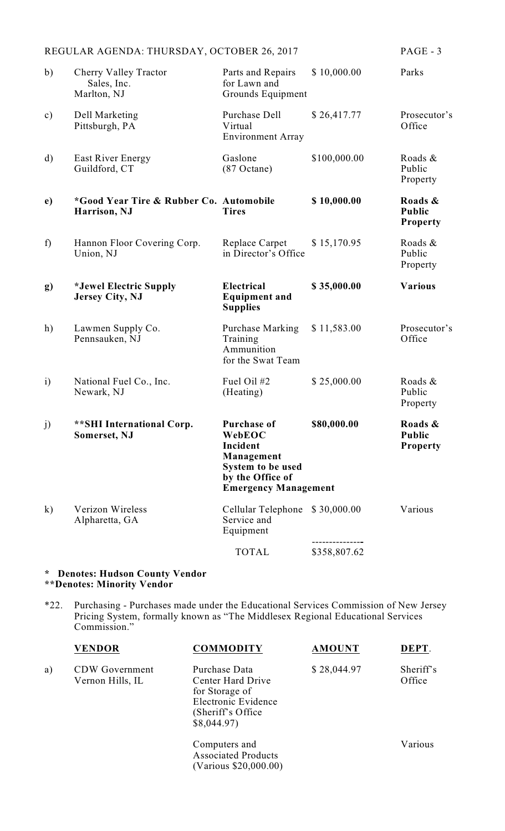|               | REGULAR AGENDA: THURSDAY, OCTOBER 26, 2017                         |                                                                                                                                |              | $PAGE - 3$                                  |
|---------------|--------------------------------------------------------------------|--------------------------------------------------------------------------------------------------------------------------------|--------------|---------------------------------------------|
| b)            | <b>Cherry Valley Tractor</b><br>Sales, Inc.<br>Marlton, NJ         | Parts and Repairs<br>for Lawn and<br>Grounds Equipment                                                                         | \$10,000.00  | Parks                                       |
| $\mathbf{c})$ | Dell Marketing<br>Pittsburgh, PA                                   | Purchase Dell<br>Virtual<br><b>Environment Array</b>                                                                           | \$26,417.77  | Prosecutor's<br>Office                      |
| $\mathbf{d}$  | <b>East River Energy</b><br>Guildford, CT                          | Gaslone<br>$(87$ Octane)                                                                                                       | \$100,000.00 | Roads &<br>Public<br>Property               |
| $\mathbf{e})$ | <i>*Good Year Tire &amp; Rubber Co. Automobile</i><br>Harrison, NJ | <b>Tires</b>                                                                                                                   | \$10,000.00  | Roads &<br><b>Public</b><br><b>Property</b> |
| f)            | Hannon Floor Covering Corp.<br>Union, NJ                           | Replace Carpet<br>in Director's Office                                                                                         | \$15,170.95  | Roads &<br>Public<br>Property               |
| g)            | *Jewel Electric Supply<br><b>Jersey City, NJ</b>                   | Electrical<br><b>Equipment and</b><br><b>Supplies</b>                                                                          | \$35,000.00  | <b>Various</b>                              |
| h)            | Lawmen Supply Co.<br>Pennsauken, NJ                                | <b>Purchase Marking</b><br>Training<br>Ammunition<br>for the Swat Team                                                         | \$11,583.00  | Prosecutor's<br>Office                      |
| $\mathbf{i}$  | National Fuel Co., Inc.<br>Newark, NJ                              | Fuel Oil #2<br>(Heating)                                                                                                       | \$25,000.00  | Roads &<br>Public<br>Property               |
| j)            | **SHI International Corp.<br>Somerset, NJ                          | <b>Purchase of</b><br>WebEOC<br>Incident<br>Management<br>System to be used<br>by the Office of<br><b>Emergency Management</b> | \$80,000.00  | Roads &<br><b>Public</b><br><b>Property</b> |
| $\mathbf{k}$  | Verizon Wireless<br>Alpharetta, GA                                 | Cellular Telephone<br>Service and<br>Equipment                                                                                 | \$30,000.00  | Various                                     |
|               |                                                                    | <b>TOTAL</b>                                                                                                                   | \$358,807.62 |                                             |

## **\* Denotes: Hudson County Vendor \*\*Denotes: Minority Vendor**

\*22. Purchasing - Purchases made under the Educational Services Commission of New Jersey Pricing System, formally known as "The Middlesex Regional Educational Services Commission."

|    | <b>VENDOR</b>                             | <b>COMMODITY</b>                                                                                                | <b>AMOUNT</b> | DEPT.               |
|----|-------------------------------------------|-----------------------------------------------------------------------------------------------------------------|---------------|---------------------|
| a) | <b>CDW</b> Government<br>Vernon Hills, IL | Purchase Data<br>Center Hard Drive<br>for Storage of<br>Electronic Evidence<br>(Sheriff's Office)<br>\$8,044.97 | \$28,044.97   | Sheriff's<br>Office |
|    |                                           | Computers and<br><b>Associated Products</b><br>(Various \$20,000.00)                                            |               | Various             |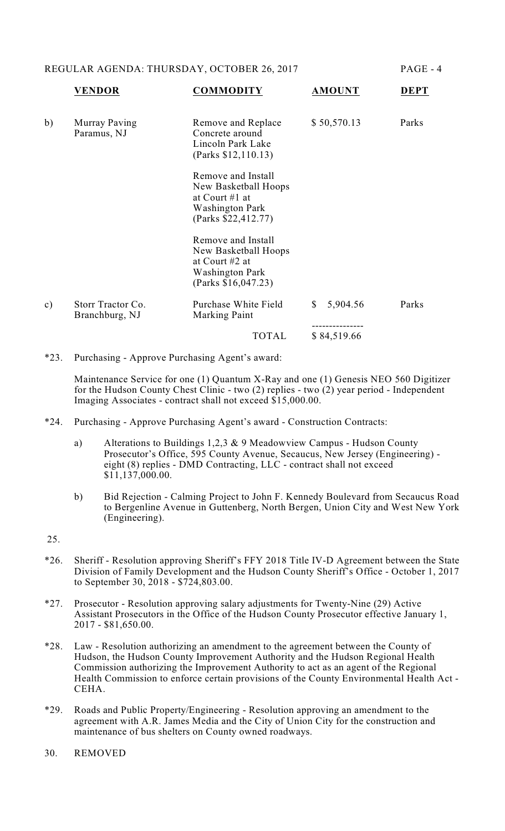REGULAR AGENDA: THURSDAY, OCTOBER 26, 2017 PAGE - 4

|               | <b>VENDOR</b>                       | <b>COMMODITY</b>                                                                                                | <b>AMOUNT</b>            | <b>DEPT</b> |
|---------------|-------------------------------------|-----------------------------------------------------------------------------------------------------------------|--------------------------|-------------|
| b)            | Murray Paving<br>Paramus, NJ        | Remove and Replace<br>Concrete around<br>Lincoln Park Lake<br>(Parks \$12,110.13)                               | \$50,570.13              | Parks       |
|               |                                     | Remove and Install<br>New Basketball Hoops<br>at Court $#1$ at<br><b>Washington Park</b><br>(Parks \$22,412.77) |                          |             |
|               |                                     | Remove and Install<br>New Basketball Hoops<br>at Court #2 at<br><b>Washington Park</b><br>(Parks \$16,047.23)   |                          |             |
| $\mathbf{c})$ | Storr Tractor Co.<br>Branchburg, NJ | Purchase White Field<br><b>Marking Paint</b>                                                                    | $\mathbb{S}$<br>5,904.56 | Parks       |
|               |                                     | <b>TOTAL</b>                                                                                                    | \$84,519.66              |             |

\*23. Purchasing - Approve Purchasing Agent's award:

Maintenance Service for one (1) Quantum X-Ray and one (1) Genesis NEO 560 Digitizer for the Hudson County Chest Clinic - two (2) replies - two (2) year period - Independent Imaging Associates - contract shall not exceed \$15,000.00.

- \*24. Purchasing Approve Purchasing Agent's award Construction Contracts:
	- a) Alterations to Buildings 1,2,3 & 9 Meadowview Campus Hudson County Prosecutor's Office, 595 County Avenue, Secaucus, New Jersey (Engineering) eight (8) replies - DMD Contracting, LLC - contract shall not exceed \$11,137,000.00.
	- b) Bid Rejection Calming Project to John F. Kennedy Boulevard from Secaucus Road to Bergenline Avenue in Guttenberg, North Bergen, Union City and West New York (Engineering).

25.

- \*26. Sheriff Resolution approving Sheriff's FFY 2018 Title IV-D Agreement between the State Division of Family Development and the Hudson County Sheriff's Office - October 1, 2017 to September 30, 2018 - \$724,803.00.
- \*27. Prosecutor Resolution approving salary adjustments for Twenty-Nine (29) Active Assistant Prosecutors in the Office of the Hudson County Prosecutor effective January 1, 2017 - \$81,650.00.
- \*28. Law Resolution authorizing an amendment to the agreement between the County of Hudson, the Hudson County Improvement Authority and the Hudson Regional Health Commission authorizing the Improvement Authority to act as an agent of the Regional Health Commission to enforce certain provisions of the County Environmental Health Act - CEHA.
- \*29. Roads and Public Property/Engineering Resolution approving an amendment to the agreement with A.R. James Media and the City of Union City for the construction and maintenance of bus shelters on County owned roadways.
- 30. REMOVED